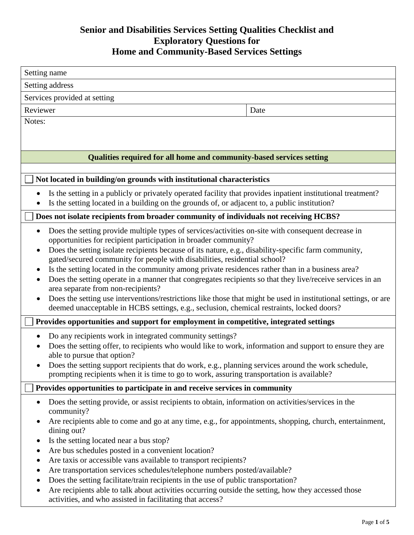# **Senior and Disabilities Services Setting Qualities Checklist and Exploratory Questions for Home and Community-Based Services Settings**

| Setting name                                                                                                                                                                                                                                                                                                                                                                                                                           |                                                                                                                                                                                                                                                                                                                                                                                                                                                                                                                                                |
|----------------------------------------------------------------------------------------------------------------------------------------------------------------------------------------------------------------------------------------------------------------------------------------------------------------------------------------------------------------------------------------------------------------------------------------|------------------------------------------------------------------------------------------------------------------------------------------------------------------------------------------------------------------------------------------------------------------------------------------------------------------------------------------------------------------------------------------------------------------------------------------------------------------------------------------------------------------------------------------------|
| Setting address                                                                                                                                                                                                                                                                                                                                                                                                                        |                                                                                                                                                                                                                                                                                                                                                                                                                                                                                                                                                |
| Services provided at setting                                                                                                                                                                                                                                                                                                                                                                                                           |                                                                                                                                                                                                                                                                                                                                                                                                                                                                                                                                                |
| Reviewer                                                                                                                                                                                                                                                                                                                                                                                                                               | Date                                                                                                                                                                                                                                                                                                                                                                                                                                                                                                                                           |
| Notes:                                                                                                                                                                                                                                                                                                                                                                                                                                 |                                                                                                                                                                                                                                                                                                                                                                                                                                                                                                                                                |
|                                                                                                                                                                                                                                                                                                                                                                                                                                        |                                                                                                                                                                                                                                                                                                                                                                                                                                                                                                                                                |
|                                                                                                                                                                                                                                                                                                                                                                                                                                        |                                                                                                                                                                                                                                                                                                                                                                                                                                                                                                                                                |
|                                                                                                                                                                                                                                                                                                                                                                                                                                        | Qualities required for all home and community-based services setting                                                                                                                                                                                                                                                                                                                                                                                                                                                                           |
| Not located in building/on grounds with institutional characteristics                                                                                                                                                                                                                                                                                                                                                                  |                                                                                                                                                                                                                                                                                                                                                                                                                                                                                                                                                |
| Is the setting located in a building on the grounds of, or adjacent to, a public institution?                                                                                                                                                                                                                                                                                                                                          | Is the setting in a publicly or privately operated facility that provides inpatient institutional treatment?                                                                                                                                                                                                                                                                                                                                                                                                                                   |
| Does not isolate recipients from broader community of individuals not receiving HCBS?                                                                                                                                                                                                                                                                                                                                                  |                                                                                                                                                                                                                                                                                                                                                                                                                                                                                                                                                |
| opportunities for recipient participation in broader community?<br>gated/secured community for people with disabilities, residential school?<br>$\bullet$<br>area separate from non-recipients?<br>deemed unacceptable in HCBS settings, e.g., seclusion, chemical restraints, locked doors?                                                                                                                                           | Does the setting provide multiple types of services/activities on-site with consequent decrease in<br>Does the setting isolate recipients because of its nature, e.g., disability-specific farm community,<br>Is the setting located in the community among private residences rather than in a business area?<br>Does the setting operate in a manner that congregates recipients so that they live/receive services in an<br>Does the setting use interventions/restrictions like those that might be used in institutional settings, or are |
| Provides opportunities and support for employment in competitive, integrated settings                                                                                                                                                                                                                                                                                                                                                  |                                                                                                                                                                                                                                                                                                                                                                                                                                                                                                                                                |
| Do any recipients work in integrated community settings?<br>able to pursue that option?<br>prompting recipients when it is time to go to work, assuring transportation is available?                                                                                                                                                                                                                                                   | Does the setting offer, to recipients who would like to work, information and support to ensure they are<br>Does the setting support recipients that do work, e.g., planning services around the work schedule,                                                                                                                                                                                                                                                                                                                                |
| Provides opportunities to participate in and receive services in community                                                                                                                                                                                                                                                                                                                                                             |                                                                                                                                                                                                                                                                                                                                                                                                                                                                                                                                                |
| community?<br>dining out?<br>Is the setting located near a bus stop?<br>Are bus schedules posted in a convenient location?<br>Are taxis or accessible vans available to transport recipients?<br>٠<br>Are transportation services schedules/telephone numbers posted/available?<br>Does the setting facilitate/train recipients in the use of public transportation?<br>٠<br>activities, and who assisted in facilitating that access? | Does the setting provide, or assist recipients to obtain, information on activities/services in the<br>Are recipients able to come and go at any time, e.g., for appointments, shopping, church, entertainment,<br>Are recipients able to talk about activities occurring outside the setting, how they accessed those                                                                                                                                                                                                                         |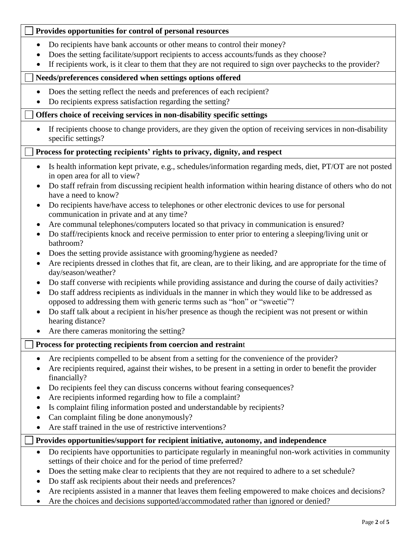## **Provides opportunities for control of personal resources**

- Do recipients have bank accounts or other means to control their money?
- Does the setting facilitate/support recipients to access accounts/funds as they choose?
- If recipients work, is it clear to them that they are not required to sign over paychecks to the provider?

### **Needs/preferences considered when settings options offered**

- Does the setting reflect the needs and preferences of each recipient?
- Do recipients express satisfaction regarding the setting?

#### **Offers choice of receiving services in non-disability specific settings**

 If recipients choose to change providers, are they given the option of receiving services in non-disability specific settings?

#### **Process for protecting recipients' rights to privacy, dignity, and respect**

- Is health information kept private, e.g., schedules/information regarding meds, diet, PT/OT are not posted in open area for all to view?
- Do staff refrain from discussing recipient health information within hearing distance of others who do not have a need to know?
- Do recipients have/have access to telephones or other electronic devices to use for personal communication in private and at any time?
- Are communal telephones/computers located so that privacy in communication is ensured?
- Do staff/recipients knock and receive permission to enter prior to entering a sleeping/living unit or bathroom?
- Does the setting provide assistance with grooming/hygiene as needed?
- Are recipients dressed in clothes that fit, are clean, are to their liking, and are appropriate for the time of day/season/weather?
- Do staff converse with recipients while providing assistance and during the course of daily activities?
- Do staff address recipients as individuals in the manner in which they would like to be addressed as opposed to addressing them with generic terms such as "hon" or "sweetie"?
- Do staff talk about a recipient in his/her presence as though the recipient was not present or within hearing distance?
- Are there cameras monitoring the setting?

## **Process for protecting recipients from coercion and restrain**t

- Are recipients compelled to be absent from a setting for the convenience of the provider?
- Are recipients required, against their wishes, to be present in a setting in order to benefit the provider financially?
- Do recipients feel they can discuss concerns without fearing consequences?
- Are recipients informed regarding how to file a complaint?
- Is complaint filing information posted and understandable by recipients?
- Can complaint filing be done anonymously?
- Are staff trained in the use of restrictive interventions?

## **Provides opportunities/support for recipient initiative, autonomy, and independence**

- Do recipients have opportunities to participate regularly in meaningful non-work activities in community settings of their choice and for the period of time preferred?
- Does the setting make clear to recipients that they are not required to adhere to a set schedule?
- Do staff ask recipients about their needs and preferences?
- Are recipients assisted in a manner that leaves them feeling empowered to make choices and decisions?
- Are the choices and decisions supported/accommodated rather than ignored or denied?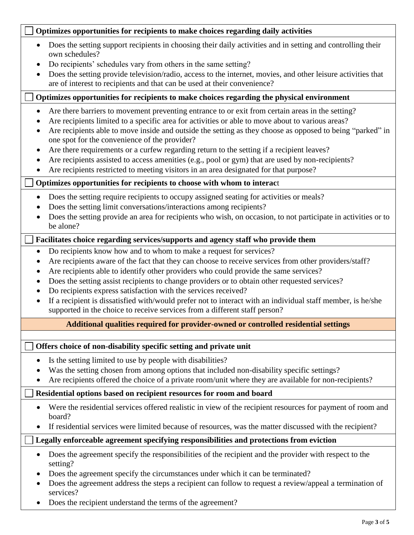| Optimizes opportunities for recipients to make choices regarding daily activities                                                                                                                                                                                                                                                                                                                                                                                                                                                                                                                                                                                         |  |  |
|---------------------------------------------------------------------------------------------------------------------------------------------------------------------------------------------------------------------------------------------------------------------------------------------------------------------------------------------------------------------------------------------------------------------------------------------------------------------------------------------------------------------------------------------------------------------------------------------------------------------------------------------------------------------------|--|--|
| Does the setting support recipients in choosing their daily activities and in setting and controlling their<br>own schedules?<br>Do recipients' schedules vary from others in the same setting?<br>Does the setting provide television/radio, access to the internet, movies, and other leisure activities that<br>are of interest to recipients and that can be used at their convenience?                                                                                                                                                                                                                                                                               |  |  |
| Optimizes opportunities for recipients to make choices regarding the physical environment                                                                                                                                                                                                                                                                                                                                                                                                                                                                                                                                                                                 |  |  |
| Are there barriers to movement preventing entrance to or exit from certain areas in the setting?<br>$\bullet$<br>Are recipients limited to a specific area for activities or able to move about to various areas?<br>Are recipients able to move inside and outside the setting as they choose as opposed to being "parked" in<br>one spot for the convenience of the provider?<br>Are there requirements or a curfew regarding return to the setting if a recipient leaves?<br>Are recipients assisted to access amenities (e.g., pool or gym) that are used by non-recipients?<br>Are recipients restricted to meeting visitors in an area designated for that purpose? |  |  |
| Optimizes opportunities for recipients to choose with whom to interact                                                                                                                                                                                                                                                                                                                                                                                                                                                                                                                                                                                                    |  |  |
| Does the setting require recipients to occupy assigned seating for activities or meals?<br>$\bullet$<br>Does the setting limit conversations/interactions among recipients?<br>Does the setting provide an area for recipients who wish, on occasion, to not participate in activities or to<br>be alone?                                                                                                                                                                                                                                                                                                                                                                 |  |  |
| Facilitates choice regarding services/supports and agency staff who provide them                                                                                                                                                                                                                                                                                                                                                                                                                                                                                                                                                                                          |  |  |
| Do recipients know how and to whom to make a request for services?<br>Are recipients aware of the fact that they can choose to receive services from other providers/staff?<br>Are recipients able to identify other providers who could provide the same services?<br>Does the setting assist recipients to change providers or to obtain other requested services?<br>Do recipients express satisfaction with the services received?<br>If a recipient is dissatisfied with/would prefer not to interact with an individual staff member, is he/she<br>supported in the choice to receive services from a different staff person?                                       |  |  |
| Additional qualities required for provider-owned or controlled residential settings                                                                                                                                                                                                                                                                                                                                                                                                                                                                                                                                                                                       |  |  |
|                                                                                                                                                                                                                                                                                                                                                                                                                                                                                                                                                                                                                                                                           |  |  |
| Offers choice of non-disability specific setting and private unit<br>Is the setting limited to use by people with disabilities?<br>Was the setting chosen from among options that included non-disability specific settings?<br>Are recipients offered the choice of a private room/unit where they are available for non-recipients?                                                                                                                                                                                                                                                                                                                                     |  |  |
| Residential options based on recipient resources for room and board                                                                                                                                                                                                                                                                                                                                                                                                                                                                                                                                                                                                       |  |  |
| Were the residential services offered realistic in view of the recipient resources for payment of room and<br>board?<br>If residential services were limited because of resources, was the matter discussed with the recipient?                                                                                                                                                                                                                                                                                                                                                                                                                                           |  |  |
| Legally enforceable agreement specifying responsibilities and protections from eviction                                                                                                                                                                                                                                                                                                                                                                                                                                                                                                                                                                                   |  |  |
| Does the agreement specify the responsibilities of the recipient and the provider with respect to the<br>setting?<br>Does the agreement specify the circumstances under which it can be terminated?<br>Does the agreement address the steps a recipient can follow to request a review/appeal a termination of<br>services?<br>Does the recipient understand the terms of the agreement?                                                                                                                                                                                                                                                                                  |  |  |